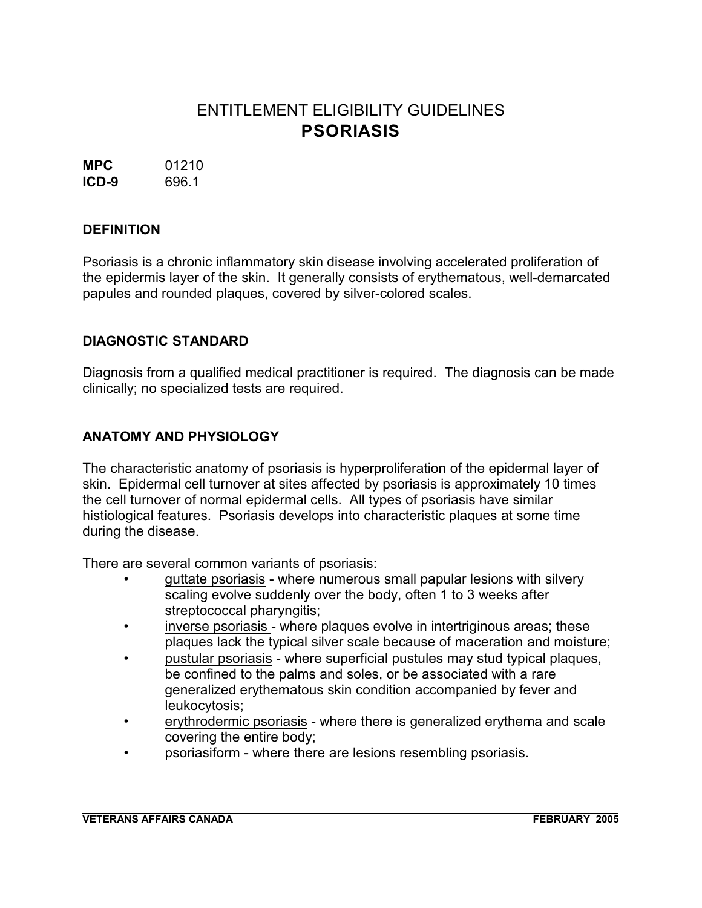# ENTITLEMENT ELIGIBILITY GUIDELINES **PSORIASIS**

**MPC** 01210 **ICD-9** 696.1

# **DEFINITION**

Psoriasis is a chronic inflammatory skin disease involving accelerated proliferation of the epidermis layer of the skin. It generally consists of erythematous, well-demarcated papules and rounded plaques, covered by silver-colored scales.

# **DIAGNOSTIC STANDARD**

Diagnosis from a qualified medical practitioner is required. The diagnosis can be made clinically; no specialized tests are required.

# **ANATOMY AND PHYSIOLOGY**

The characteristic anatomy of psoriasis is hyperproliferation of the epidermal layer of skin. Epidermal cell turnover at sites affected by psoriasis is approximately 10 times the cell turnover of normal epidermal cells. All types of psoriasis have similar histiological features. Psoriasis develops into characteristic plaques at some time during the disease.

There are several common variants of psoriasis:

- guttate psoriasis where numerous small papular lesions with silvery scaling evolve suddenly over the body, often 1 to 3 weeks after streptococcal pharyngitis;
- inverse psoriasis where plaques evolve in intertriginous areas; these plaques lack the typical silver scale because of maceration and moisture;
- pustular psoriasis where superficial pustules may stud typical plaques, be confined to the palms and soles, or be associated with a rare generalized erythematous skin condition accompanied by fever and leukocytosis;
- erythrodermic psoriasis where there is generalized erythema and scale covering the entire body;
- psoriasiform where there are lesions resembling psoriasis.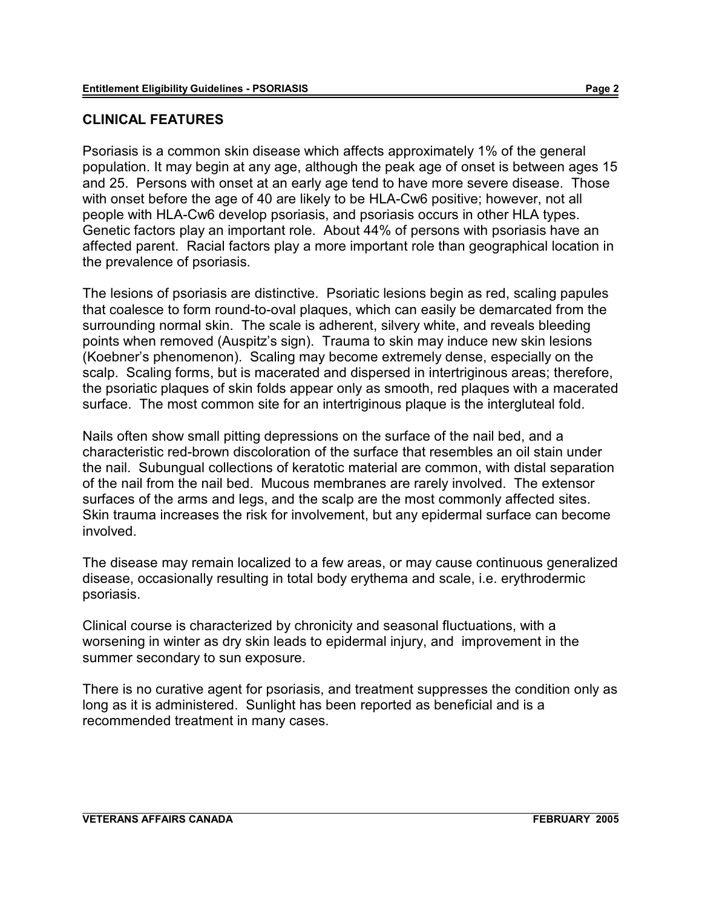# **CLINICAL FEATURES**

Psoriasis is a common skin disease which affects approximately 1% of the general population. It may begin at any age, although the peak age of onset is between ages 15 and 25. Persons with onset at an early age tend to have more severe disease. Those with onset before the age of 40 are likely to be HLA-Cw6 positive; however, not all people with HLA-Cw6 develop psoriasis, and psoriasis occurs in other HLA types. Genetic factors play an important role. About 44% of persons with psoriasis have an affected parent. Racial factors play a more important role than geographical location in the prevalence of psoriasis.

The lesions of psoriasis are distinctive. Psoriatic lesions begin as red, scaling papules that coalesce to form round-to-oval plaques, which can easily be demarcated from the surrounding normal skin. The scale is adherent, silvery white, and reveals bleeding points when removed (Auspitz's sign). Trauma to skin may induce new skin lesions (Koebner's phenomenon). Scaling may become extremely dense, especially on the scalp. Scaling forms, but is macerated and dispersed in intertriginous areas; therefore, the psoriatic plaques of skin folds appear only as smooth, red plaques with a macerated surface. The most common site for an intertriginous plaque is the intergluteal fold.

Nails often show small pitting depressions on the surface of the nail bed, and a characteristic red-brown discoloration of the surface that resembles an oil stain under the nail. Subungual collections of keratotic material are common, with distal separation of the nail from the nail bed. Mucous membranes are rarely involved. The extensor surfaces of the arms and legs, and the scalp are the most commonly affected sites. Skin trauma increases the risk for involvement, but any epidermal surface can become involved.

The disease may remain localized to a few areas, or may cause continuous generalized disease, occasionally resulting in total body erythema and scale, i.e. erythrodermic psoriasis.

Clinical course is characterized by chronicity and seasonal fluctuations, with a worsening in winter as dry skin leads to epidermal injury, and improvement in the summer secondary to sun exposure.

There is no curative agent for psoriasis, and treatment suppresses the condition only as long as it is administered. Sunlight has been reported as beneficial and is a recommended treatment in many cases.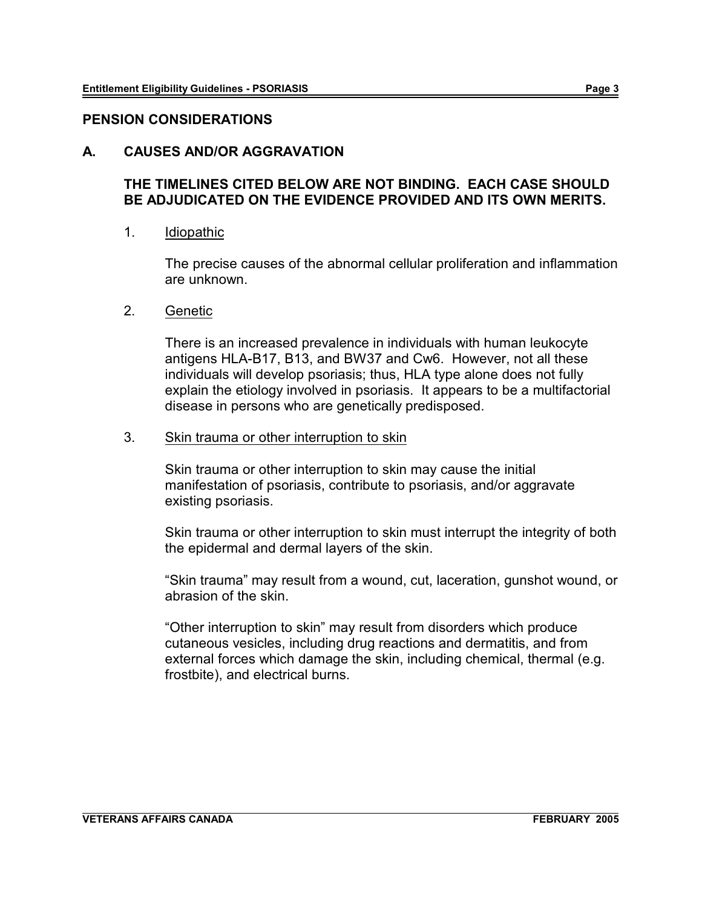# **PENSION CONSIDERATIONS**

# **A. CAUSES AND/OR AGGRAVATION**

# **THE TIMELINES CITED BELOW ARE NOT BINDING. EACH CASE SHOULD BE ADJUDICATED ON THE EVIDENCE PROVIDED AND ITS OWN MERITS.**

#### 1. Idiopathic

The precise causes of the abnormal cellular proliferation and inflammation are unknown.

#### 2. Genetic

There is an increased prevalence in individuals with human leukocyte antigens HLA-B17, B13, and BW37 and Cw6. However, not all these individuals will develop psoriasis; thus, HLA type alone does not fully explain the etiology involved in psoriasis. It appears to be a multifactorial disease in persons who are genetically predisposed.

#### 3. Skin trauma or other interruption to skin

Skin trauma or other interruption to skin may cause the initial manifestation of psoriasis, contribute to psoriasis, and/or aggravate existing psoriasis.

Skin trauma or other interruption to skin must interrupt the integrity of both the epidermal and dermal layers of the skin.

"Skin trauma" may result from a wound, cut, laceration, gunshot wound, or abrasion of the skin.

"Other interruption to skin" may result from disorders which produce cutaneous vesicles, including drug reactions and dermatitis, and from external forces which damage the skin, including chemical, thermal (e.g. frostbite), and electrical burns.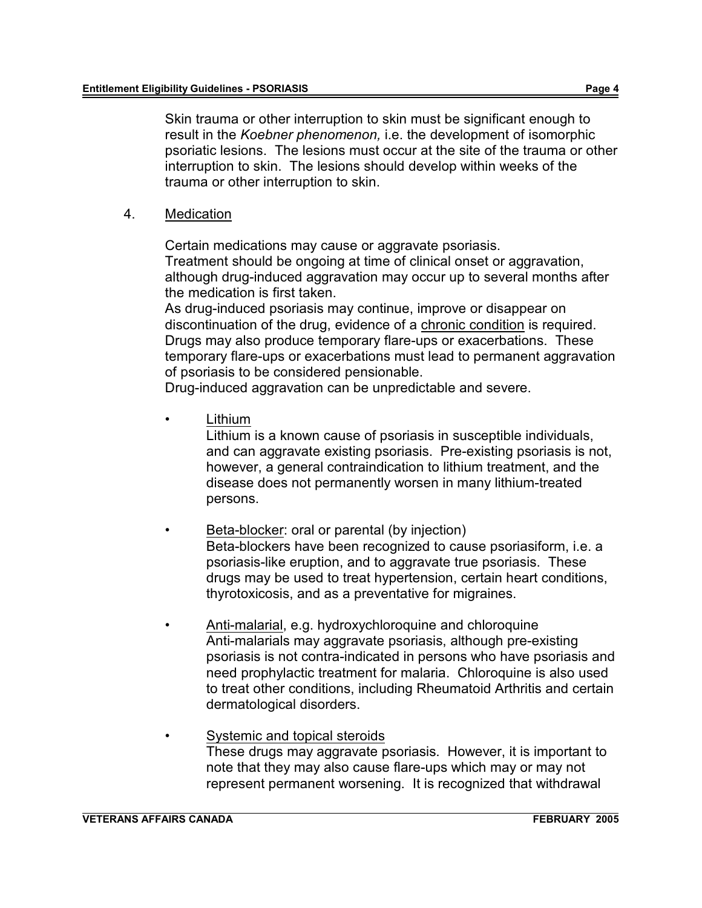Skin trauma or other interruption to skin must be significant enough to result in the *Koebner phenomenon,* i.e. the development of isomorphic psoriatic lesions. The lesions must occur at the site of the trauma or other interruption to skin. The lesions should develop within weeks of the trauma or other interruption to skin.

# 4. Medication

Certain medications may cause or aggravate psoriasis. Treatment should be ongoing at time of clinical onset or aggravation, although drug-induced aggravation may occur up to several months after the medication is first taken.

As drug-induced psoriasis may continue, improve or disappear on discontinuation of the drug, evidence of a chronic condition is required. Drugs may also produce temporary flare-ups or exacerbations. These temporary flare-ups or exacerbations must lead to permanent aggravation of psoriasis to be considered pensionable.

Drug-induced aggravation can be unpredictable and severe.

• Lithium

Lithium is a known cause of psoriasis in susceptible individuals, and can aggravate existing psoriasis. Pre-existing psoriasis is not, however, a general contraindication to lithium treatment, and the disease does not permanently worsen in many lithium-treated persons.

- Beta-blocker: oral or parental (by injection) Beta-blockers have been recognized to cause psoriasiform, i.e. a psoriasis-like eruption, and to aggravate true psoriasis. These drugs may be used to treat hypertension, certain heart conditions, thyrotoxicosis, and as a preventative for migraines.
- Anti-malarial, e.g. hydroxychloroquine and chloroquine Anti-malarials may aggravate psoriasis, although pre-existing psoriasis is not contra-indicated in persons who have psoriasis and need prophylactic treatment for malaria. Chloroquine is also used to treat other conditions, including Rheumatoid Arthritis and certain dermatological disorders.
	- Systemic and topical steroids These drugs may aggravate psoriasis. However, it is important to note that they may also cause flare-ups which may or may not represent permanent worsening. It is recognized that withdrawal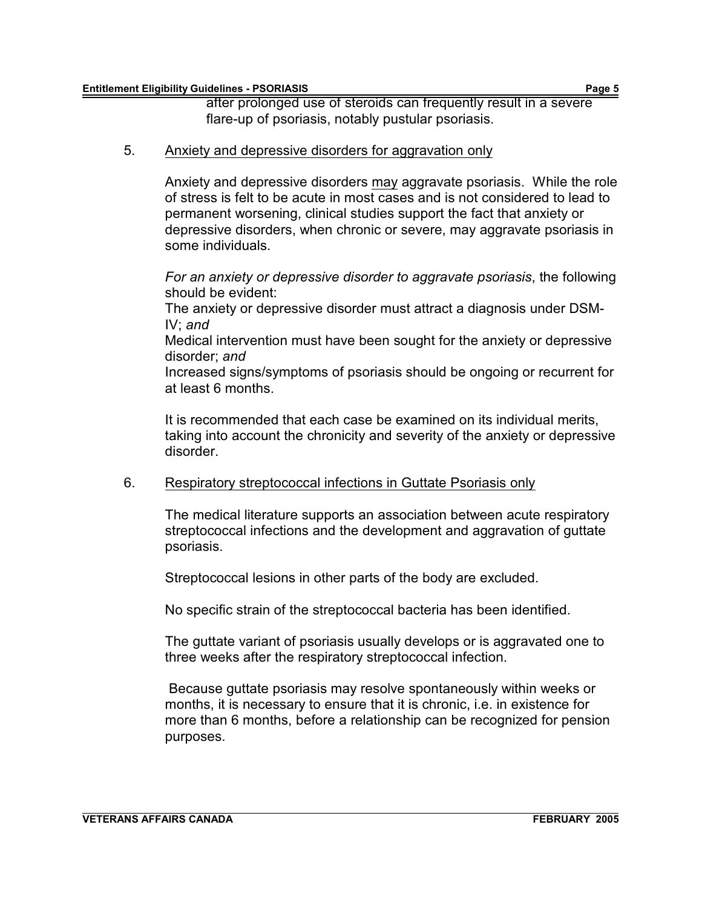after prolonged use of steroids can frequently result in a severe flare-up of psoriasis, notably pustular psoriasis.

5. Anxiety and depressive disorders for aggravation only

Anxiety and depressive disorders may aggravate psoriasis. While the role of stress is felt to be acute in most cases and is not considered to lead to permanent worsening, clinical studies support the fact that anxiety or depressive disorders, when chronic or severe, may aggravate psoriasis in some individuals.

*For an anxiety or depressive disorder to aggravate psoriasis*, the following should be evident:

The anxiety or depressive disorder must attract a diagnosis under DSM-IV; *and*

Medical intervention must have been sought for the anxiety or depressive disorder; *and*

Increased signs/symptoms of psoriasis should be ongoing or recurrent for at least 6 months.

It is recommended that each case be examined on its individual merits, taking into account the chronicity and severity of the anxiety or depressive disorder.

6. Respiratory streptococcal infections in Guttate Psoriasis only

The medical literature supports an association between acute respiratory streptococcal infections and the development and aggravation of guttate psoriasis.

Streptococcal lesions in other parts of the body are excluded.

No specific strain of the streptococcal bacteria has been identified.

The guttate variant of psoriasis usually develops or is aggravated one to three weeks after the respiratory streptococcal infection.

 Because guttate psoriasis may resolve spontaneously within weeks or months, it is necessary to ensure that it is chronic, i.e. in existence for more than 6 months, before a relationship can be recognized for pension purposes.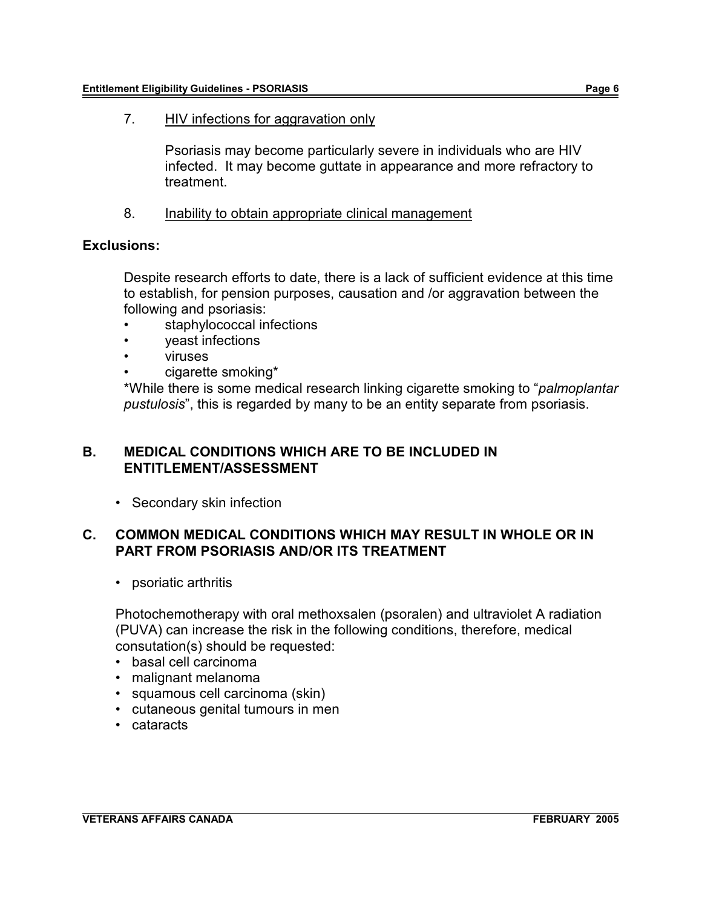Psoriasis may become particularly severe in individuals who are HIV infected. It may become guttate in appearance and more refractory to treatment.

8. Inability to obtain appropriate clinical management

# **Exclusions:**

Despite research efforts to date, there is a lack of sufficient evidence at this time to establish, for pension purposes, causation and /or aggravation between the following and psoriasis:

- staphylococcal infections
- yeast infections
- viruses
- cigarette smoking\*

\*While there is some medical research linking cigarette smoking to "*palmoplantar pustulosis*", this is regarded by many to be an entity separate from psoriasis.

# **B. MEDICAL CONDITIONS WHICH ARE TO BE INCLUDED IN ENTITLEMENT/ASSESSMENT**

• Secondary skin infection

# **C. COMMON MEDICAL CONDITIONS WHICH MAY RESULT IN WHOLE OR IN PART FROM PSORIASIS AND/OR ITS TREATMENT**

• psoriatic arthritis

Photochemotherapy with oral methoxsalen (psoralen) and ultraviolet A radiation (PUVA) can increase the risk in the following conditions, therefore, medical consutation(s) should be requested:

- basal cell carcinoma
- malignant melanoma
- squamous cell carcinoma (skin)
- cutaneous genital tumours in men
- cataracts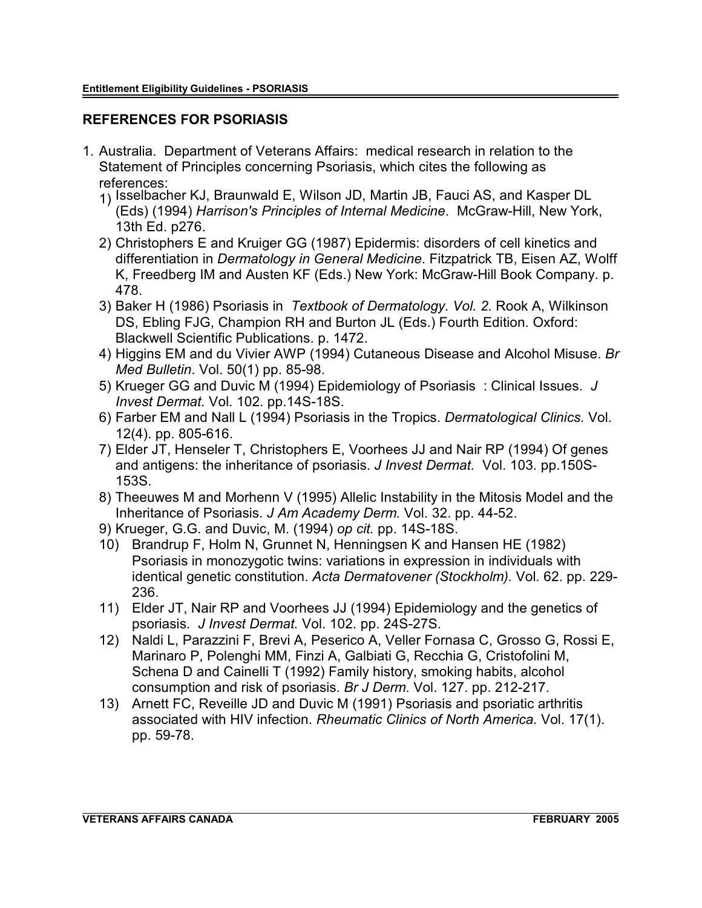# **REFERENCES FOR PSORIASIS**

- 1. Australia. Department of Veterans Affairs: medical research in relation to the Statement of Principles concerning Psoriasis, which cites the following as references:
	- 1) Isselbacher KJ, Braunwald E, Wilson JD, Martin JB, Fauci AS, and Kasper DL (Eds) (1994) *Harrison's Principles of Internal Medicine*. McGraw-Hill, New York, 13th Ed. p276.
	- 2) Christophers E and Kruiger GG (1987) Epidermis: disorders of cell kinetics and differentiation in *Dermatology in General Medicine*. Fitzpatrick TB, Eisen AZ, Wolff K, Freedberg IM and Austen KF (Eds.) New York: McGraw-Hill Book Company. p. 478.
	- 3) Baker H (1986) Psoriasis in *Textbook of Dermatology. Vol. 2.* Rook A, Wilkinson DS, Ebling FJG, Champion RH and Burton JL (Eds.) Fourth Edition. Oxford: Blackwell Scientific Publications. p. 1472.
	- 4) Higgins EM and du Vivier AWP (1994) Cutaneous Disease and Alcohol Misuse. *Br Med Bulletin*. Vol. 50(1) pp. 85-98.
	- 5) Krueger GG and Duvic M (1994) Epidemiology of Psoriasis : Clinical Issues. *J Invest Dermat.* Vol. 102. pp.14S-18S.
	- 6) Farber EM and Nall L (1994) Psoriasis in the Tropics. *Dermatological Clinics.* Vol. 12(4). pp. 805-616.
	- 7) Elder JT, Henseler T, Christophers E, Voorhees JJ and Nair RP (1994) Of genes and antigens: the inheritance of psoriasis. *J Invest Dermat.* Vol. 103. pp.150S-153S.
	- 8) Theeuwes M and Morhenn V (1995) Allelic Instability in the Mitosis Model and the Inheritance of Psoriasis. *J Am Academy Derm.* Vol. 32. pp. 44-52.
	- 9) Krueger, G.G. and Duvic, M. (1994) *op cit.* pp. 14S-18S.
	- 10) Brandrup F, Holm N, Grunnet N, Henningsen K and Hansen HE (1982) Psoriasis in monozygotic twins: variations in expression in individuals with identical genetic constitution. *Acta Dermatovener (Stockholm).* Vol. 62. pp. 229- 236.
	- 11) Elder JT, Nair RP and Voorhees JJ (1994) Epidemiology and the genetics of psoriasis. *J Invest Dermat.* Vol. 102. pp. 24S-27S.
	- 12) Naldi L, Parazzini F, Brevi A, Peserico A, Veller Fornasa C, Grosso G, Rossi E, Marinaro P, Polenghi MM, Finzi A, Galbiati G, Recchia G, Cristofolini M, Schena D and Cainelli T (1992) Family history, smoking habits, alcohol consumption and risk of psoriasis. *Br J Derm*. Vol. 127. pp. 212-217.
	- 13) Arnett FC, Reveille JD and Duvic M (1991) Psoriasis and psoriatic arthritis associated with HIV infection. *Rheumatic Clinics of North America.* Vol. 17(1). pp. 59-78.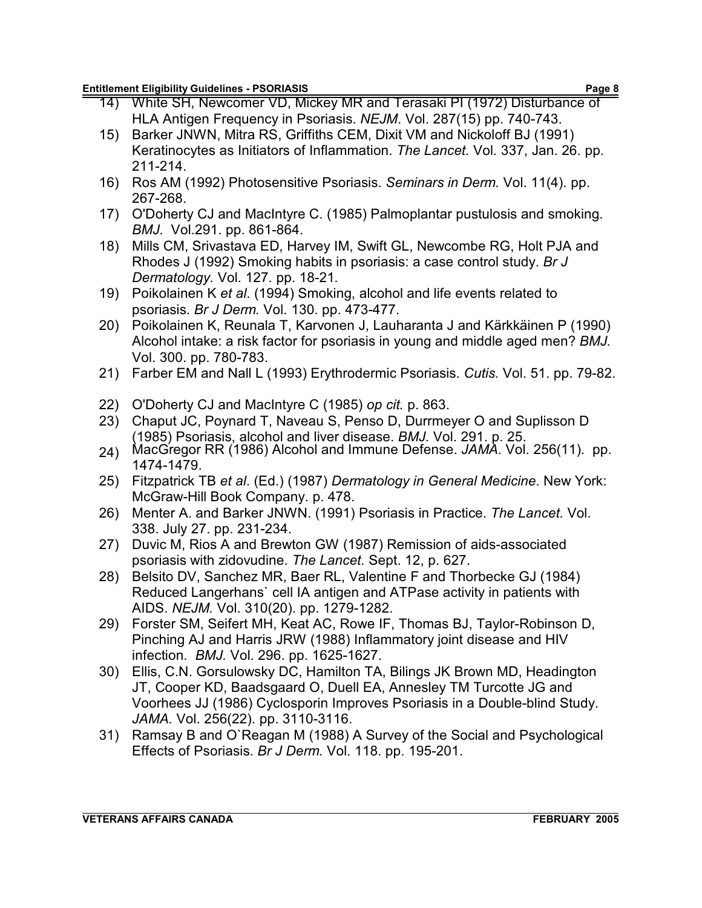**Entitlement Eligibility Guidelines - PSORIASIS Page 8**

- 14) White SH, Newcomer VD, Mickey MR and Terasaki PI (1972) Disturbance of HLA Antigen Frequency in Psoriasis. *NEJM*. Vol. 287(15) pp. 740-743.
- 15) Barker JNWN, Mitra RS, Griffiths CEM, Dixit VM and Nickoloff BJ (1991) Keratinocytes as Initiators of Inflammation. *The Lancet.* Vol. 337, Jan. 26. pp. 211-214.
- 16) Ros AM (1992) Photosensitive Psoriasis. *Seminars in Derm.* Vol. 11(4). pp. 267-268.
- 17) O'Doherty CJ and MacIntyre C. (1985) Palmoplantar pustulosis and smoking. *BMJ.* Vol.291. pp. 861-864.
- 18) Mills CM, Srivastava ED, Harvey IM, Swift GL, Newcombe RG, Holt PJA and Rhodes J (1992) Smoking habits in psoriasis: a case control study. *Br J Dermatology.* Vol. 127. pp. 18-21*.*
- 19) Poikolainen K *et al*. (1994) Smoking, alcohol and life events related to psoriasis. *Br J Derm.* Vol. 130. pp. 473-477.
- 20) Poikolainen K, Reunala T, Karvonen J, Lauharanta J and Kärkkäinen P (1990) Alcohol intake: a risk factor for psoriasis in young and middle aged men? *BMJ.* Vol. 300. pp. 780-783.
- 21) Farber EM and Nall L (1993) Erythrodermic Psoriasis. *Cutis.* Vol. 51. pp. 79-82.
- 22) O'Doherty CJ and MacIntyre C (1985) *op cit.* p. 863.
- 23) Chaput JC, Poynard T, Naveau S, Penso D, Durrmeyer O and Suplisson D (1985) Psoriasis, alcohol and liver disease. *BMJ.* Vol. 291. p. 25.
- 24) MacGregor RR (1986) Alcohol and Immune Defense. JAMA. Vol. 256(11). pp. 1474-1479.
- 25) Fitzpatrick TB *et al*. (Ed.) (1987) *Dermatology in General Medicine*. New York: McGraw-Hill Book Company. p. 478.
- 26) Menter A. and Barker JNWN. (1991) Psoriasis in Practice. *The Lancet.* Vol. 338. July 27. pp. 231-234.
- 27) Duvic M, Rios A and Brewton GW (1987) Remission of aids-associated psoriasis with zidovudine. *The Lancet.* Sept. 12, p. 627.
- 28) Belsito DV, Sanchez MR, Baer RL, Valentine F and Thorbecke GJ (1984) Reduced Langerhans` cell IA antigen and ATPase activity in patients with AIDS. *NEJM.* Vol. 310(20). pp. 1279-1282.
- 29) Forster SM, Seifert MH, Keat AC, Rowe IF, Thomas BJ, Taylor-Robinson D, Pinching AJ and Harris JRW (1988) Inflammatory joint disease and HIV infection. *BMJ.* Vol. 296. pp. 1625-1627.
- 30) Ellis, C.N. Gorsulowsky DC, Hamilton TA, Bilings JK Brown MD, Headington JT, Cooper KD, Baadsgaard O, Duell EA, Annesley TM Turcotte JG and Voorhees JJ (1986) Cyclosporin Improves Psoriasis in a Double-blind Study. *JAMA.* Vol. 256(22). pp. 3110-3116.
- 31) Ramsay B and O`Reagan M (1988) A Survey of the Social and Psychological Effects of Psoriasis. *Br J Derm.* Vol. 118. pp. 195-201.